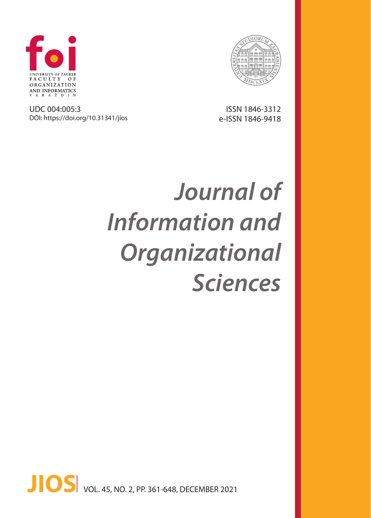

nnnlmmmlnnn

UDC 004:005:3 DOI: https://doi.org/10.31341/jios

ISSN 1846-3312 e-ISSN 1846-9418

# *Journal of Information and Organizational Sciences*

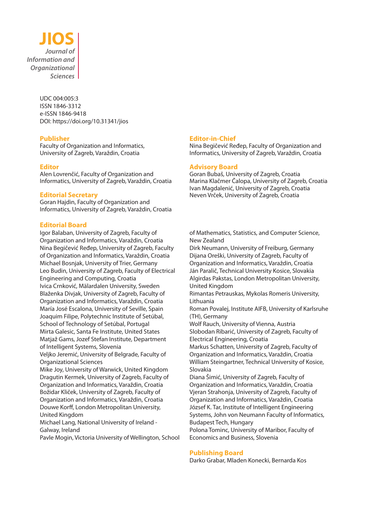

UDC 004:005:3 ISSN 1846-3312 e-ISSN 1846-9418 DOI: https://doi.org/10.31341/jios

#### **Publisher**

Faculty of Organization and Informatics, University of Zagreb, Varaždin, Croatia

## **Editor**

Alen Lovrenčić, Faculty of Organization and Informatics, University of Zagreb, Varaždin, Croatia

#### **Editorial Secretary**

Goran Hajdin, Faculty of Organization and Informatics, University of Zagreb, Varaždin, Croatia

## **Editorial Board**

Igor Balaban, University of Zagreb, Faculty of Organization and Informatics, Varaždin, Croatia Nina Begičević Ređep, University of Zagreb, Faculty of Organization and Informatics, Varaždin, Croatia Michael Bosnjak, University of Trier, Germany Leo Budin, University of Zagreb, Faculty of Electrical Engineering and Computing, Croatia Ivica Crnković, Mälardalen University, Sweden Blaženka Divjak, University of Zagreb, Faculty of Organization and Informatics, Varaždin, Croatia María José Escalona, University of Seville, Spain Joaquim Filipe, Polytechnic Institute of Setúbal, School of Technology of Setúbal, Portugal Mirta Galesic, Santa Fe Institute, United States Matjaž Gams, Jozef Stefan Institute, Department of Intelligent Systems, Slovenia

Veljko Jeremić, University of Belgrade, Faculty of Organizational Sciences

Mike Joy, University of Warwick, United Kingdom Dragutin Kermek, University of Zagreb, Faculty of Organization and Informatics, Varaždin, Croatia Božidar Kliček, University of Zagreb, Faculty of Organization and Informatics, Varaždin, Croatia Douwe Korff, London Metropolitan University, United Kingdom

Michael Lang, National University of Ireland - Galway, Ireland

Pavle Mogin, Victoria University of Wellington, School

#### **Editor-in-Chief**

Nina Begičević Ređep, Faculty of Organization and Informatics, University of Zagreb, Varaždin, Croatia

#### **Advisory Board**

Goran Bubaš, University of Zagreb, Croatia Marina Klačmer Čalopa, University of Zagreb, Croatia Ivan Magdalenić, University of Zagreb, Croatia Neven Vrček, University of Zagreb, Croatia

of Mathematics, Statistics, and Computer Science, New Zealand

Dirk Neumann, University of Freiburg, Germany Dijana Oreški, University of Zagreb, Faculty of Organization and Informatics, Varaždin, Croatia Ján Paralič, Technical University Kosice, Slovakia Algirdas Pakstas, London Metropolitan University, United Kingdom

Rimantas Petrauskas, Mykolas Romeris University, Lithuania

Roman Povalej, Institute AIFB, University of Karlsruhe (TH), Germany

Wolf Rauch, University of Vienna, Austria Slobodan Ribarić, University of Zagreb, Faculty of Electrical Engineering, Croatia

Markus Schatten, University of Zagreb, Faculty of Organization and Informatics, Varaždin, Croatia William Steingartner, Technical University of Kosice, Slovakia

Diana Šimić, University of Zagreb, Faculty of Organization and Informatics, Varaždin, Croatia Vjeran Strahonja, University of Zagreb, Faculty of Organization and Informatics, Varaždin, Croatia József K. Tar, Institute of Intelligent Engineering Systems, John von Neumann Faculty of Informatics, Budapest Tech, Hungary

Polona Tominc, University of Maribor, Faculty of Economics and Business, Slovenia

#### **Publishing Board**

Darko Grabar, Mladen Konecki, Bernarda Kos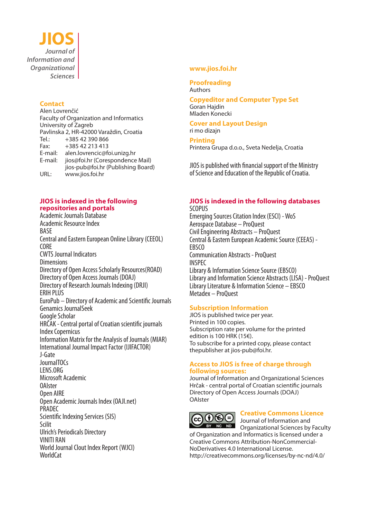**JIOS** *Journal of Information and Organizational Sciences*

## **Contact**

Alen Lovrenčić Faculty of Organization and Informatics University of Zagreb Pavlinska 2, HR-42000 Varaždin, Croatia<br>Tel.: +385 42 390 866 Tel.: +385 42 390 866<br>Fax: +385 42 213 413 Fax: +385 42 213 413 E-mail: alen.lovrencic@foi.unizg.hr E-mail: jios@foi.hr (Corespondence Mail) jios-pub@foi.hr (Publishing Board) URL: www.jios.foi.hr

## **JIOS is indexed in the following repositories and portals**

Academic Journals Database Academic Resource Index BASE Central and Eastern European Online Library (CEEOL) CORE CWTS Journal Indicators **Dimensions** Directory of Open Access Scholarly Resources(ROAD) Directory of Open Access Journals (DOAJ) Directory of Research Journals Indexing (DRJI) ERIH PLUS EuroPub – Directory of Academic and Scientific Journals Genamics JournalSeek Google Scholar HRČAK - Central portal of Croatian scientific journals Index Copernicus Information Matrix for the Analysis of Journals (MIAR) International Journal Impact Factor (IJIFACTOR) J-Gate JournalTOCs LENS.ORG Microsoft Academic OAIster Open AIRE Open Academic Journals Index (OAJI.net) PRADEC Scientific Indexing Services (SIS) Scilit Ulrich's Periodicals Directory VINITI RAN World Journal Clout Index Report (WJCI) WorldCat

## **www.jios.foi.hr**

**Proofreading** Authors

**Copyeditor and Computer Type Set** Goran Hajdin Mladen Konecki

#### **Cover and Layout Design** ri mo dizajn

**Printing**

Printera Grupa d.o.o., Sveta Nedelja, Croatia

JIOS is published with financial support of the Ministry of Science and Education of the Republic of Croatia.

## **JIOS is indexed in the following databases**

SCOPUS Emerging Sources Citation Index (ESCI) - WoS Aerospace Database – ProQuest Civil Engineering Abstracts – ProQuest Central & Eastern European Academic Source (CEEAS) - **FRSCO** Communication Abstracts - ProQuest INSPEC Library & Information Science Source (EBSCO) Library and Information Science Abstracts (LISA) - ProQuest Library Literature & Information Science – EBSCO Metadex – ProQuest

## **Subscription Information**

JIOS is published twice per year. Printed in 100 copies. Subscription rate per volume for the printed edition is 100 HRK (15€). To subscribe for a printed copy, please contact thepublisher at jios-pub@foi.hr.

## **Access to JIOS is free of charge through following sources:**

Journal of Information and Organizational Sciences Hrčak - central portal of Croatian scientific journals Directory of Open Access Journals (DOAJ) OAIster



# **Creative Commons Licence**

 $\overline{B}$  Journal of Information and  $\overline{B}$  Degree Specific Degree Specific Degree Specific Degree Specific Degree Specific Degree Specific Degree Specific Degree Specific Degree Specific Degree Specific Degree Specific Organizational Sciences by Faculty of Organization and Informatics is licensed under a Creative Commons Attribution-NonCommercial-NoDerivatives 4.0 International License.

http://creativecommons.org/licenses/by-nc-nd/4.0/